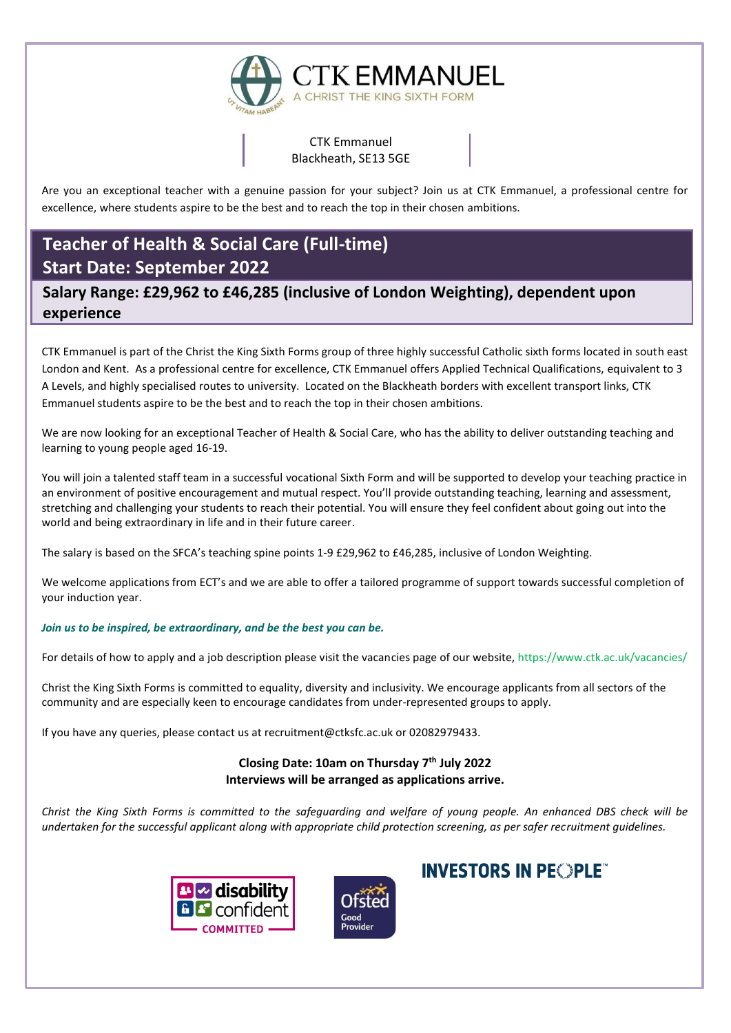

CTK Emmanuel Blackheath, SE13 5GE

Are you an exceptional teacher with a genuine passion for your subject? Join us at CTK Emmanuel, a professional centre for excellence, where students aspire to be the best and to reach the top in their chosen ambitions.

**CTK EMMANUEL** 

# **Teacher of Health & Social Care (Full-time) Start Date: September 2022**

# **Salary Range: £29,962 to £46,285 (inclusive of London Weighting), dependent upon experience**

CTK Emmanuel is part of the Christ the King Sixth Forms group of three highly successful Catholic sixth forms located in south east London and Kent. As a professional centre for excellence, CTK Emmanuel offers Applied Technical Qualifications, equivalent to 3 A Levels, and highly specialised routes to university. Located on the Blackheath borders with excellent transport links, CTK Emmanuel students aspire to be the best and to reach the top in their chosen ambitions.

We are now looking for an exceptional Teacher of Health & Social Care, who has the ability to deliver outstanding teaching and learning to young people aged 16-19.

You will join a talented staff team in a successful vocational Sixth Form and will be supported to develop your teaching practice in an environment of positive encouragement and mutual respect. You'll provide outstanding teaching, learning and assessment, stretching and challenging your students to reach their potential. You will ensure they feel confident about going out into the world and being extraordinary in life and in their future career.

The salary is based on the SFCA's teaching spine points 1-9 £29,962 to £46,285, inclusive of London Weighting.

We welcome applications from ECT's and we are able to offer a tailored programme of support towards successful completion of your induction year.

#### *Join us to be inspired, be extraordinary, and be the best you can be.*

For details of how to apply and a job description please visit the vacancies page of our website,<https://www.ctk.ac.uk/vacancies/>

Christ the King Sixth Forms is committed to equality, diversity and inclusivity. We encourage applicants from all sectors of the community and are especially keen to encourage candidates from under-represented groups to apply.

If you have any queries, please contact us at recruitment@ctksfc.ac.uk or 02082979433.

### **Closing Date: 10am on Thursday 7th July 2022 Interviews will be arranged as applications arrive.**

*Christ the King Sixth Forms is committed to the safeguarding and welfare of young people. An enhanced DBS check will be undertaken for the successful applicant along with appropriate child protection screening, as per safer recruitment guidelines.*





# **INVESTORS IN PEOPLE**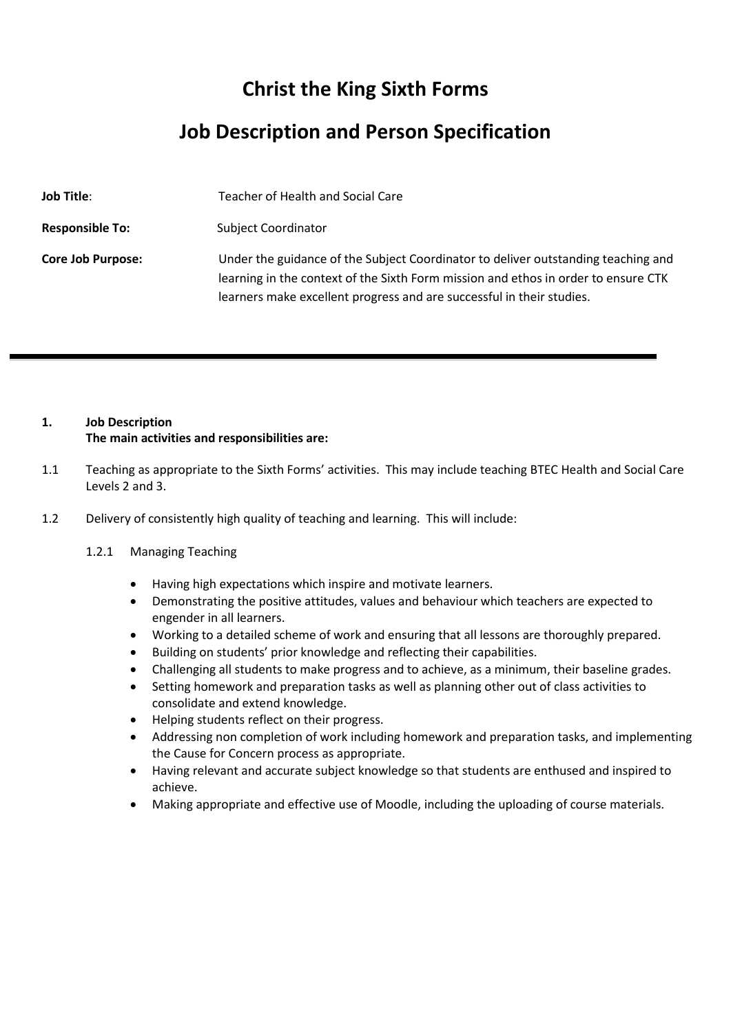# **Christ the King Sixth Forms**

# **Job Description and Person Specification**

| <b>Job Title:</b>        | Teacher of Health and Social Care                                                                                                                                                                                                                |
|--------------------------|--------------------------------------------------------------------------------------------------------------------------------------------------------------------------------------------------------------------------------------------------|
| <b>Responsible To:</b>   | Subject Coordinator                                                                                                                                                                                                                              |
| <b>Core Job Purpose:</b> | Under the guidance of the Subject Coordinator to deliver outstanding teaching and<br>learning in the context of the Sixth Form mission and ethos in order to ensure CTK<br>learners make excellent progress and are successful in their studies. |

# **1. Job Description The main activities and responsibilities are:**

- 1.1 Teaching as appropriate to the Sixth Forms' activities. This may include teaching BTEC Health and Social Care Levels 2 and 3.
- 1.2 Delivery of consistently high quality of teaching and learning. This will include:
	- 1.2.1 Managing Teaching
		- Having high expectations which inspire and motivate learners.
		- Demonstrating the positive attitudes, values and behaviour which teachers are expected to engender in all learners.
		- Working to a detailed scheme of work and ensuring that all lessons are thoroughly prepared.
		- Building on students' prior knowledge and reflecting their capabilities.
		- Challenging all students to make progress and to achieve, as a minimum, their baseline grades.
		- Setting homework and preparation tasks as well as planning other out of class activities to consolidate and extend knowledge.
		- Helping students reflect on their progress.
		- Addressing non completion of work including homework and preparation tasks, and implementing the Cause for Concern process as appropriate.
		- Having relevant and accurate subject knowledge so that students are enthused and inspired to achieve.
		- Making appropriate and effective use of Moodle, including the uploading of course materials.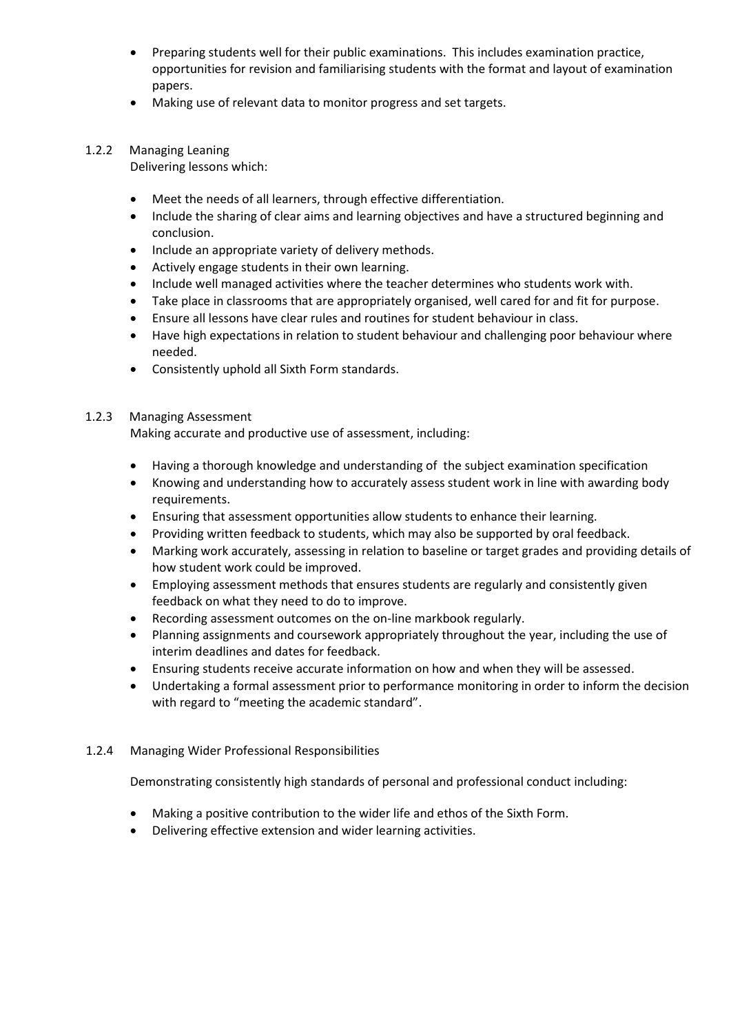- Preparing students well for their public examinations. This includes examination practice, opportunities for revision and familiarising students with the format and layout of examination papers.
- Making use of relevant data to monitor progress and set targets.

## 1.2.2 Managing Leaning

Delivering lessons which:

- Meet the needs of all learners, through effective differentiation.
- Include the sharing of clear aims and learning objectives and have a structured beginning and conclusion.
- Include an appropriate variety of delivery methods.
- Actively engage students in their own learning.
- Include well managed activities where the teacher determines who students work with.
- Take place in classrooms that are appropriately organised, well cared for and fit for purpose.
- Ensure all lessons have clear rules and routines for student behaviour in class.
- Have high expectations in relation to student behaviour and challenging poor behaviour where needed.
- Consistently uphold all Sixth Form standards.

## 1.2.3 Managing Assessment

Making accurate and productive use of assessment, including:

- Having a thorough knowledge and understanding of the subject examination specification
- Knowing and understanding how to accurately assess student work in line with awarding body requirements.
- Ensuring that assessment opportunities allow students to enhance their learning.
- Providing written feedback to students, which may also be supported by oral feedback.
- Marking work accurately, assessing in relation to baseline or target grades and providing details of how student work could be improved.
- Employing assessment methods that ensures students are regularly and consistently given feedback on what they need to do to improve.
- Recording assessment outcomes on the on-line markbook regularly.
- Planning assignments and coursework appropriately throughout the year, including the use of interim deadlines and dates for feedback.
- Ensuring students receive accurate information on how and when they will be assessed.
- Undertaking a formal assessment prior to performance monitoring in order to inform the decision with regard to "meeting the academic standard".

## 1.2.4 Managing Wider Professional Responsibilities

Demonstrating consistently high standards of personal and professional conduct including:

- Making a positive contribution to the wider life and ethos of the Sixth Form.
- Delivering effective extension and wider learning activities.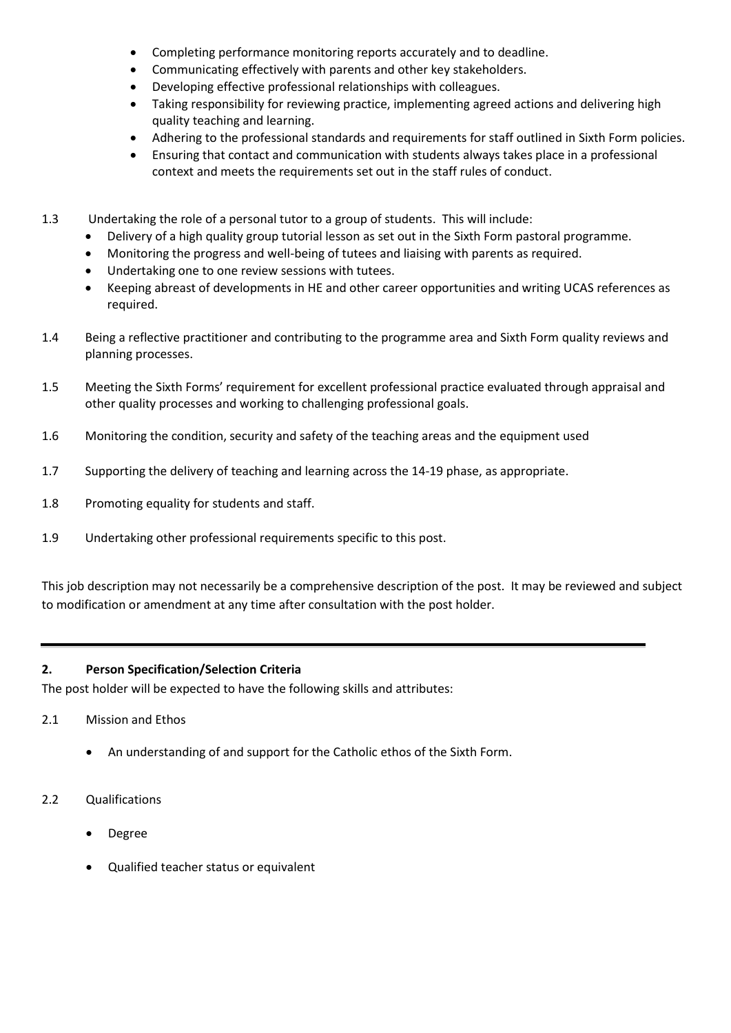- Completing performance monitoring reports accurately and to deadline.
- Communicating effectively with parents and other key stakeholders.
- Developing effective professional relationships with colleagues.
- Taking responsibility for reviewing practice, implementing agreed actions and delivering high quality teaching and learning.
- Adhering to the professional standards and requirements for staff outlined in Sixth Form policies.
- Ensuring that contact and communication with students always takes place in a professional context and meets the requirements set out in the staff rules of conduct.
- 1.3 Undertaking the role of a personal tutor to a group of students. This will include:
	- Delivery of a high quality group tutorial lesson as set out in the Sixth Form pastoral programme.
	- Monitoring the progress and well-being of tutees and liaising with parents as required.
	- Undertaking one to one review sessions with tutees.
	- Keeping abreast of developments in HE and other career opportunities and writing UCAS references as required.
- 1.4 Being a reflective practitioner and contributing to the programme area and Sixth Form quality reviews and planning processes.
- 1.5 Meeting the Sixth Forms' requirement for excellent professional practice evaluated through appraisal and other quality processes and working to challenging professional goals.
- 1.6 Monitoring the condition, security and safety of the teaching areas and the equipment used
- 1.7 Supporting the delivery of teaching and learning across the 14-19 phase, as appropriate.
- 1.8 Promoting equality for students and staff.
- 1.9 Undertaking other professional requirements specific to this post.

This job description may not necessarily be a comprehensive description of the post. It may be reviewed and subject to modification or amendment at any time after consultation with the post holder.

### **2. Person Specification/Selection Criteria**

The post holder will be expected to have the following skills and attributes:

- 2.1 Mission and Ethos
	- An understanding of and support for the Catholic ethos of the Sixth Form.
- 2.2 Qualifications
	- Degree
	- Qualified teacher status or equivalent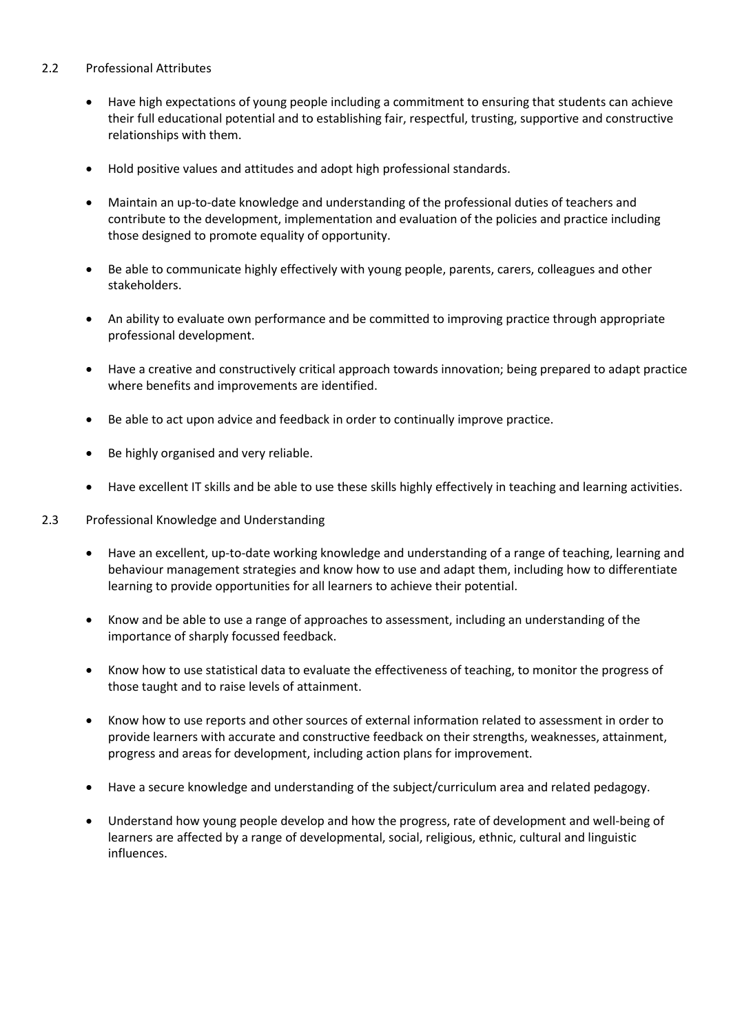## 2.2 Professional Attributes

- Have high expectations of young people including a commitment to ensuring that students can achieve their full educational potential and to establishing fair, respectful, trusting, supportive and constructive relationships with them.
- Hold positive values and attitudes and adopt high professional standards.
- Maintain an up-to-date knowledge and understanding of the professional duties of teachers and contribute to the development, implementation and evaluation of the policies and practice including those designed to promote equality of opportunity.
- Be able to communicate highly effectively with young people, parents, carers, colleagues and other stakeholders.
- An ability to evaluate own performance and be committed to improving practice through appropriate professional development.
- Have a creative and constructively critical approach towards innovation; being prepared to adapt practice where benefits and improvements are identified.
- Be able to act upon advice and feedback in order to continually improve practice.
- Be highly organised and very reliable.
- Have excellent IT skills and be able to use these skills highly effectively in teaching and learning activities.
- 2.3 Professional Knowledge and Understanding
	- Have an excellent, up-to-date working knowledge and understanding of a range of teaching, learning and behaviour management strategies and know how to use and adapt them, including how to differentiate learning to provide opportunities for all learners to achieve their potential.
	- Know and be able to use a range of approaches to assessment, including an understanding of the importance of sharply focussed feedback.
	- Know how to use statistical data to evaluate the effectiveness of teaching, to monitor the progress of those taught and to raise levels of attainment.
	- Know how to use reports and other sources of external information related to assessment in order to provide learners with accurate and constructive feedback on their strengths, weaknesses, attainment, progress and areas for development, including action plans for improvement.
	- Have a secure knowledge and understanding of the subject/curriculum area and related pedagogy.
	- Understand how young people develop and how the progress, rate of development and well-being of learners are affected by a range of developmental, social, religious, ethnic, cultural and linguistic influences.